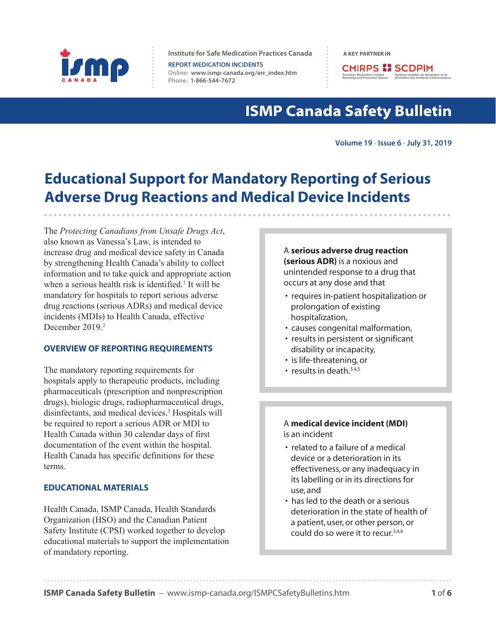

**Institute for Safe Medication Practices Canada A A KEY PARTNER IN** 

**REPORT MEDICATION INCIDENTS Online:  [www.ismp-canada.org/err\\_index.htm](http://www.ismp-canada.org/err_index.htm)  Phone: 1-866-544-7672**

**CMIRPS ## SCDPIM** Canadian Medication Incident<br>
Reporting and Prevention System prévention des incidents méd

# **ISMP Canada Safety Bulletin**

**Volume 19 • Issue 6 • July 31, 2019**

# **Educational Support for Mandatory Reporting of Serious Adverse Drug Reactions and Medical Device Incidents**

The *Protecting Canadians from Unsafe Drugs Act*, also known as Vanessa's Law, is intended to increase drug and medical device safety in Canada by strengthening Health Canada's ability to collect information and to take quick and appropriate action when a serious health risk is identified.<sup>1</sup> It will be mandatory for hospitals to report serious adverse drug reactions (serious ADRs) and medical device incidents (MDIs) to Health Canada, effective December 2019.<sup>2</sup>

### **OVERVIEW OF REPORTING REQUIREMENTS**

The mandatory reporting requirements for hospitals apply to therapeutic products, including pharmaceuticals (prescription and nonprescription drugs), biologic drugs, radiopharmaceutical drugs, disinfectants, and medical devices.3 Hospitals will be required to report a serious ADR or MDI to Health Canada within 30 calendar days of first documentation of the event within the hospital. Health Canada has specific definitions for these terms.

## **EDUCATIONAL MATERIALS**

Health Canada, ISMP Canada, Health Standards Organization (HSO) and the Canadian Patient Safety Institute (CPSI) worked together to develop educational materials to support the implementation of mandatory reporting.

A **serious adverse drug reaction (serious ADR)** is a noxious and unintended response to a drug that occurs at any dose and that

- requires in-patient hospitalization or prolongation of existing hospitalization,
- causes congenital malformation,
- results in persistent or significant disability or incapacity,
- is life-threatening, or
- results in death. $3,4,5$

### A **medical device incident (MDI)** is an incident

- related to a failure of a medical device or a deterioration in its effectiveness, or any inadequacy in its labelling or in its directions for use, and
- has led to the death or a serious deterioration in the state of health of a patient, user, or other person, or could do so were it to recur.3,4,6

**ISMP Canada Safety Bulletin** – [www.ismp-canada.org/ISMPCSafetyBulletins.htm](http://www.ismp-canada.org/ISMPCSafetyBulletins.htm) **1 <b>1 1 1**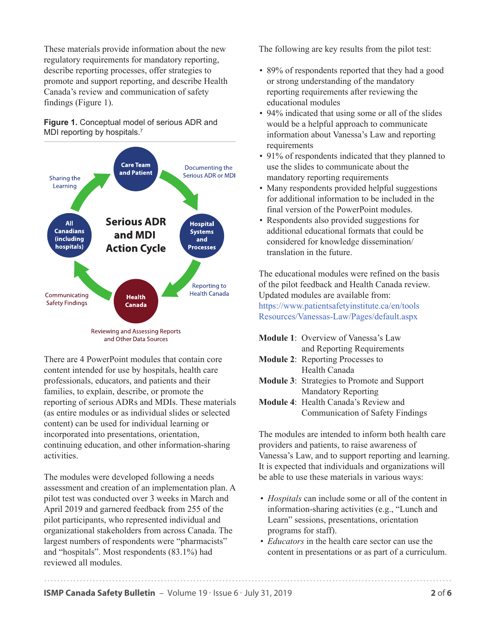These materials provide information about the new regulatory requirements for mandatory reporting, describe reporting processes, offer strategies to promote and support reporting, and describe Health Canada's review and communication of safety findings (Figure 1).

### **Figure 1.** Conceptual model of serious ADR and MDI reporting by hospitals.<sup>7</sup>



There are 4 PowerPoint modules that contain core content intended for use by hospitals, health care professionals, educators, and patients and their families, to explain, describe, or promote the reporting of serious ADRs and MDIs. These materials (as entire modules or as individual slides or selected content) can be used for individual learning or incorporated into presentations, orientation, continuing education, and other information-sharing activities.

The modules were developed following a needs assessment and creation of an implementation plan. A pilot test was conducted over 3 weeks in March and April 2019 and garnered feedback from 255 of the pilot participants, who represented individual and organizational stakeholders from across Canada. The largest numbers of respondents were "pharmacists" and "hospitals". Most respondents (83.1%) had reviewed all modules.

The following are key results from the pilot test:

- 89% of respondents reported that they had a good or strong understanding of the mandatory reporting requirements after reviewing the educational modules
- 94% indicated that using some or all of the slides would be a helpful approach to communicate information about Vanessa's Law and reporting requirements
- 91% of respondents indicated that they planned to use the slides to communicate about the mandatory reporting requirements
- Many respondents provided helpful suggestions for additional information to be included in the final version of the PowerPoint modules.
- Respondents also provided suggestions for additional educational formats that could be considered for knowledge dissemination/ translation in the future.

The educational modules were refined on the basis of the pilot feedback and Health Canada review. Updated modules are available from: [https://www.patientsafetyinstitute.ca/en/tools](https://www.patientsafetyinstitute.ca/en/toolsResources/Vanessas-Law/Pages/default.aspx) Resources/Vanessas-Law/Pages/default.aspx

**Module 1**: Overview of Vanessa's Law and Reporting Requirements **Module 2**: Reporting Processes to Health Canada **Module 3**: Strategies to Promote and Support Mandatory Reporting **Module 4**: Health Canada's Review and Communication of Safety Findings

The modules are intended to inform both health care providers and patients, to raise awareness of Vanessa's Law, and to support reporting and learning. It is expected that individuals and organizations will be able to use these materials in various ways:

- *Hospitals* can include some or all of the content in information-sharing activities (e.g., "Lunch and Learn" sessions, presentations, orientation programs for staff).
- *Educators* in the health care sector can use the content in presentations or as part of a curriculum.

**ISMP Canada Safety Bulletin** – Volume 19 • Issue 6 • July 31, 2019 **2019 2019**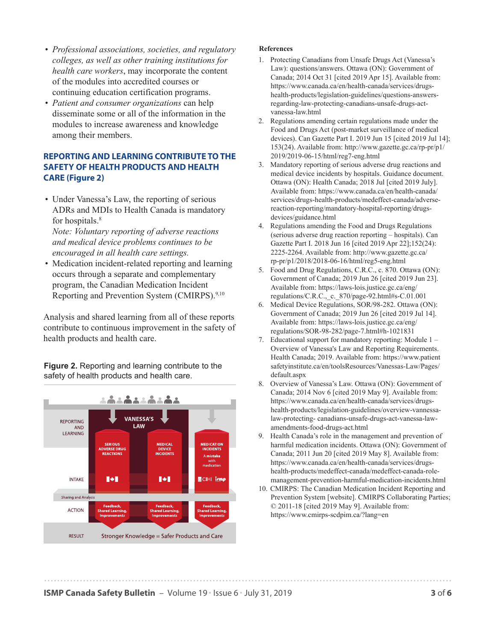- *Professional associations, societies, and regulatory colleges, as well as other training institutions for health care workers*, may incorporate the content of the modules into accredited courses or continuing education certification programs.
- *Patient and consumer organizations* can help disseminate some or all of the information in the modules to increase awareness and knowledge among their members.

## **REPORTING AND LEARNING CONTRIBUTE TO THE SAFETY OF HEALTH PRODUCTS AND HEALTH CARE (Figure 2)**

• Under Vanessa's Law, the reporting of serious ADRs and MDIs to Health Canada is mandatory for hospitals.<sup>8</sup>

*Note: Voluntary reporting of adverse reactions and medical device problems continues to be encouraged in all health care settings.*

• Medication incident-related reporting and learning occurs through a separate and complementary program, the Canadian Medication Incident Reporting and Prevention System (CMIRPS).9,10

Analysis and shared learning from all of these reports contribute to continuous improvement in the safety of health products and health care.

**Figure 2.** Reporting and learning contribute to the safety of health products and health care.



#### **References**

- [1. Protecting Canadians from Unsafe Drugs Act \(Vanessa's](https://www.canada.ca/en/health-canada/services/drugs-health-products/legislation-guidelines/questions-answers-regarding-law-protecting-canadians-unsafe-drugs-act-vanessa-law.html)  Law): questions/answers. Ottawa (ON): Government of Canada; 2014 Oct 31 [cited 2019 Apr 15]. Available from: https://www.canada.ca/en/health-canada/services/drugshealth-products/legislation-guidelines/questions-answersregarding-law-protecting-canadians-unsafe-drugs-actvanessa-law.html
- [2. Regulations amending certain regulations made under the](http://www.gazette.gc.ca/rp-pr/p1/2019/2019-06-15/html/reg7-eng.html)  Food and Drugs Act (post-market surveillance of medical devices). Can Gazette Part I. 2019 Jun 15 [cited 2019 Jul 14]; 153(24). Available from: http://www.gazette.gc.ca/rp-pr/p1/ 2019/2019-06-15/html/reg7-eng.html
- [3. Mandatory reporting of serious adverse drug reactions and](https://www.canada.ca/en/health-canada/services/drugs-health-products/medeffect-canada/adverse-reaction-reporting/mandatory-hospital-reporting/drugs-devices/guidance.html)  medical device incidents by hospitals. Guidance document. Ottawa (ON): Health Canada; 2018 Jul [cited 2019 July]. Available from: https://www.canada.ca/en/health-canada/ services/drugs-health-products/medeffect-canada/adversereaction-reporting/mandatory-hospital-reporting/drugsdevices/guidance.html
- [4. Regulations amending the Food and Drugs Regulations](http://www.gazette.gc.ca/rp-pr/p1/2018/2018-06-16/html/reg5-eng.html)  (serious adverse drug reaction reporting – hospitals). Can Gazette Part I. 2018 Jun 16 [cited 2019 Apr 22];152(24): 2225-2264. Available from: http://www.gazette.gc.ca/ rp-pr/p1/2018/2018-06-16/html/reg5-eng.html
- [5. Food and Drug Regulations, C.R.C., c. 870. Ottawa \(ON\):](https://laws-lois.justice.gc.ca/eng/regulations/C.R.C.,_c._870/page-92.html#s-C.01.001)  Government of Canada; 2019 Jun 26 [cited 2019 Jun 23]. Available from: https://laws-lois.justice.gc.ca/eng/ regulations/C.R.C.,\_c.\_870/page-92.html#s-C.01.001
- [6. Medical Device Regulations, SOR/98-282. Ottawa \(ON\):](https://laws-lois.justice.gc.ca/eng/regulations/SOR-98-282/page-7.html#h-1021831)  Government of Canada; 2019 Jun 26 [cited 2019 Jul 14]. Available from: https://laws-lois.justice.gc.ca/eng/ regulations/SOR-98-282/page-7.html#h-1021831
- [7. Educational support for mandatory reporting: Module 1](https://www.patientsafetyinstitute.ca/en/toolsResources/Vanessas-Law/Pages/default.aspx)  Overview of Vanessa's Law and Reporting Requirements. Health Canada; 2019. Available from: https://www.patient safetyinstitute.ca/en/toolsResources/Vanessas-Law/Pages/ default.aspx
- [8. Overview of Vanessa's Law. Ottawa \(ON\): Government of](https://www.canada.ca/en/health-canada/services/drugs-health-products/legislation-guidelines/overview-vannessa-law-protecting-canadians-unsafe-drugs-act-vanessa-law-amendments-food-drugs-act.html)  Canada; 2014 Nov 6 [cited 2019 May 9]. Available from: https://www.canada.ca/en/health-canada/services/drugshealth-products/legislation-guidelines/overview-vannessalaw-protecting- canadians-unsafe-drugs-act-vanessa-lawamendments-food-drugs-act.html
- [9. Health Canada's role in the management and prevention of](https://www.canada.ca/en/health-canada/services/drugs-health-products/medeffect-canada/medeffect-canada-role-management-prevention-harmful-medication-incidents.html)  harmful medication incidents. Ottawa (ON): Government of Canada; 2011 Jun 20 [cited 2019 May 8]. Available from: https://www.canada.ca/en/health-canada/services/drugshealth-products/medeffect-canada/medeffect-canada-rolemanagement-prevention-harmful-medication-incidents.html
- [10. CMIRPS: The Canadian Medication Incident Reporting and](https://www.cmirps-scdpim.ca/?lang=en)  Prevention System [website]. CMIRPS Collaborating Parties; © 2011-18 [cited 2019 May 9]. Available from: https://www.cmirps-scdpim.ca/?lang=en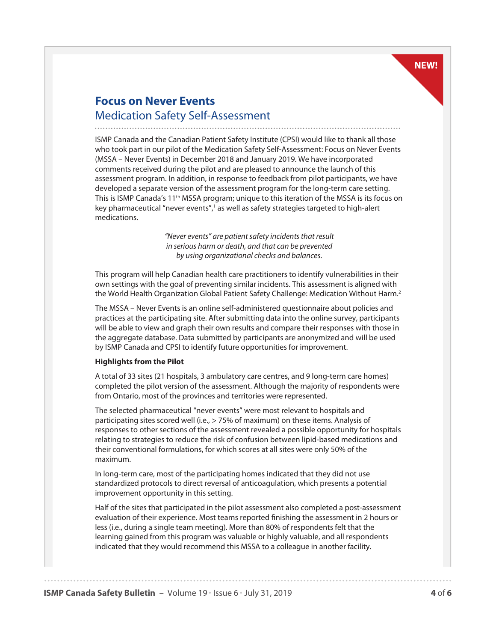### **NEW!**

# **Focus on Never Events**  Medication Safety Self-Assessment

ISMP Canada and the Canadian Patient Safety Institute (CPSI) would like to thank all those who took part in our pilot of the Medication Safety Self-Assessment: Focus on Never Events (MSSA – Never Events) in December 2018 and January 2019. We have incorporated comments received during the pilot and are pleased to announce the launch of this assessment program. In addition, in response to feedback from pilot participants, we have developed a separate version of the assessment program for the long-term care setting. This is ISMP Canada's 11<sup>th</sup> MSSA program; unique to this iteration of the MSSA is its focus on key pharmaceutical "never events",<sup>1</sup> as well as safety strategies targeted to high-alert medications.

> *"Never events" are patient safety incidents that result in serious harm or death, and that can be prevented by using organizational checks and balances.*

This program will help Canadian health care practitioners to identify vulnerabilities in their own settings with the goal of preventing similar incidents. This assessment is aligned with the World Health Organization Global Patient Safety Challenge: Medication Without Harm.2

The MSSA – Never Events is an online self-administered questionnaire about policies and practices at the participating site. After submitting data into the online survey, participants will be able to view and graph their own results and compare their responses with those in the aggregate database. Data submitted by participants are anonymized and will be used by ISMP Canada and CPSI to identify future opportunities for improvement.

#### **Highlights from the Pilot**

A total of 33 sites (21 hospitals, 3 ambulatory care centres, and 9 long-term care homes) completed the pilot version of the assessment. Although the majority of respondents were from Ontario, most of the provinces and territories were represented.

The selected pharmaceutical "never events" were most relevant to hospitals and participating sites scored well (i.e., > 75% of maximum) on these items. Analysis of responses to other sections of the assessment revealed a possible opportunity for hospitals relating to strategies to reduce the risk of confusion between lipid-based medications and their conventional formulations, for which scores at all sites were only 50% of the maximum.

In long-term care, most of the participating homes indicated that they did not use standardized protocols to direct reversal of anticoagulation, which presents a potential improvement opportunity in this setting.

Half of the sites that participated in the pilot assessment also completed a post-assessment evaluation of their experience. Most teams reported finishing the assessment in 2 hours or less (i.e., during a single team meeting). More than 80% of respondents felt that the learning gained from this program was valuable or highly valuable, and all respondents indicated that they would recommend this MSSA to a colleague in another facility.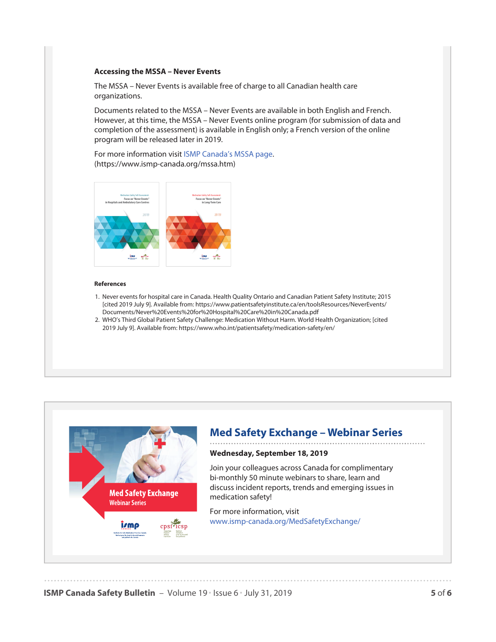#### **Accessing the MSSA – Never Events**

The MSSA – Never Events is available free of charge to all Canadian health care organizations.

Documents related to the MSSA – Never Events are available in both English and French. However, at this time, the MSSA – Never Events online program (for submission of data and completion of the assessment) is available in English only; a French version of the online program will be released later in 2019.

[For more information visit ISMP Canada's MSSA page.](https://www.ismp-canada.org/mssa.htm)  (https://www.ismp-canada.org/mssa.htm)



#### **References**

- [1. Never events for hospital care in Canada. Health Quality Ontario and Canadian Patient Safety Institute; 2015](https://www.patientsafetyinstitute.ca/en/toolsResources/NeverEvents/Documents/Never%20Events%20for%20Hospital%20Care%20in%20Canada.pdf)  [cited 2019 July 9]. Available from: https://www.patientsafetyinstitute.ca/en/toolsResources/NeverEvents/ Documents/Never%20Events%20for%20Hospital%20Care%20in%20Canada.pdf
- [2. WHO's Third Global Patient Safety Challenge: Medication Without Harm. World Health Organization; \[cited](https://www.who.int/patientsafety/medication-safety/en/)  2019 July 9]. Available from: https://www.who.int/patientsafety/medication-safety/en/



# **Med Safety Exchange – Webinar Series**

#### **Wednesday, September 18, 2019**

Join your colleagues across Canada for complimentary bi-monthly 50 minute webinars to share, learn and discuss incident reports, trends and emerging issues in medication safety!

For more information, visit [www.ismp-canada.org/MedSafetyExchange/](https://www.ismp-canada.org/MedSafetyExchange/) 

**ISMP Canada Safety Bulletin** – Volume 19 • Issue 6 • July 31, 2019 **5 666**